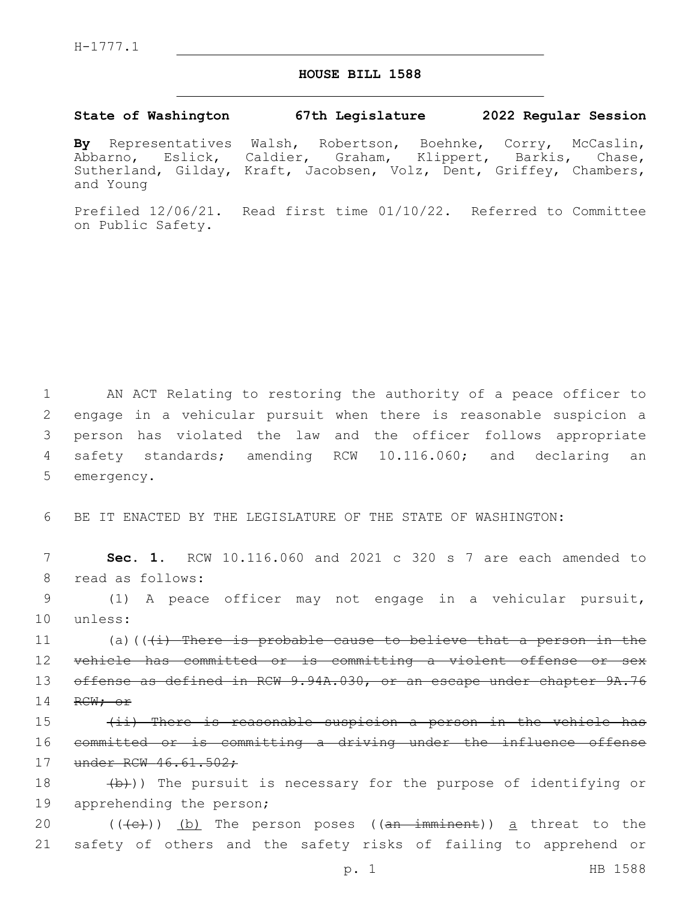## **HOUSE BILL 1588**

## **State of Washington 67th Legislature 2022 Regular Session**

**By** Representatives Walsh, Robertson, Boehnke, Corry, McCaslin, Abbarno, Eslick, Caldier, Graham, Klippert, Barkis, Chase, Sutherland, Gilday, Kraft, Jacobsen, Volz, Dent, Griffey, Chambers, and Young

Prefiled 12/06/21. Read first time 01/10/22. Referred to Committee on Public Safety.

 AN ACT Relating to restoring the authority of a peace officer to engage in a vehicular pursuit when there is reasonable suspicion a person has violated the law and the officer follows appropriate safety standards; amending RCW 10.116.060; and declaring an 5 emergency.

6 BE IT ENACTED BY THE LEGISLATURE OF THE STATE OF WASHINGTON:

7 **Sec. 1.** RCW 10.116.060 and 2021 c 320 s 7 are each amended to 8 read as follows:

9 (1) A peace officer may not engage in a vehicular pursuit, 10 unless:

11  $(a)$  (( $(i)$ ) There is probable cause to believe that a person in the 12 vehicle has committed or is committing a violent offense or sex 13 offense as defined in RCW 9.94A.030, or an escape under chapter 9A.76 14 RCW; or

15 (ii) There is reasonable suspicion a person in the vehicle has 16 committed or is committing a driving under the influence offense 17 under RCW 46.61.502;

18  $(b)$ )) The pursuit is necessary for the purpose of identifying or 19 apprehending the person;

20 ((<del>(c)</del>)) <u>(b)</u> The person poses ((<del>an imminent</del>)) <u>a</u> threat to the 21 safety of others and the safety risks of failing to apprehend or

p. 1 HB 1588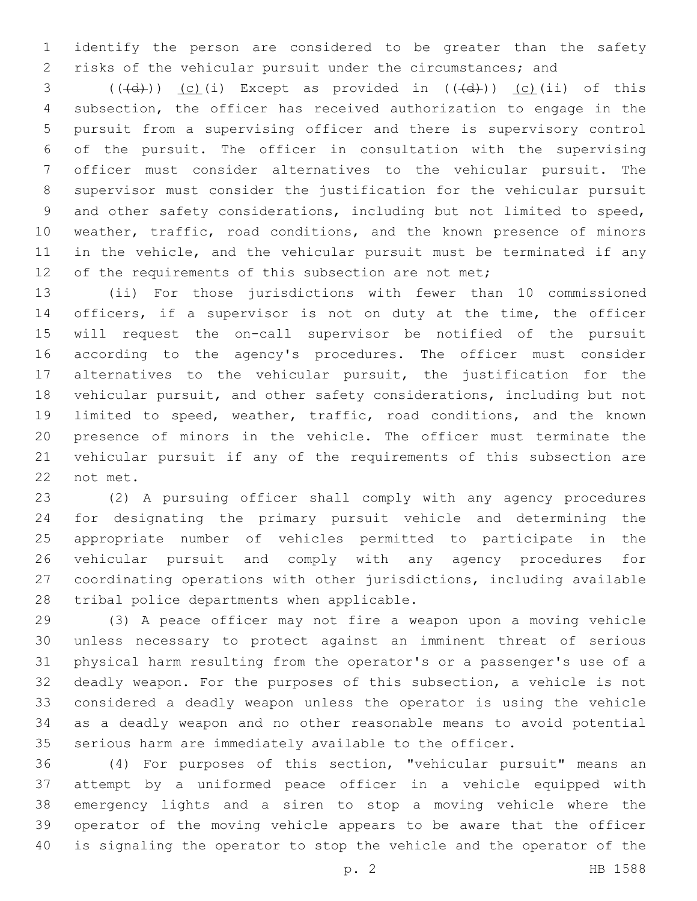identify the person are considered to be greater than the safety risks of the vehicular pursuit under the circumstances; and

 (( $\left(\frac{d}{d}\right)$ ) (c)(i) Except as provided in ( $\left(\frac{d}{d}\right)$ ) (c)(ii) of this subsection, the officer has received authorization to engage in the pursuit from a supervising officer and there is supervisory control of the pursuit. The officer in consultation with the supervising officer must consider alternatives to the vehicular pursuit. The supervisor must consider the justification for the vehicular pursuit and other safety considerations, including but not limited to speed, weather, traffic, road conditions, and the known presence of minors 11 in the vehicle, and the vehicular pursuit must be terminated if any 12 of the requirements of this subsection are not met;

 (ii) For those jurisdictions with fewer than 10 commissioned 14 officers, if a supervisor is not on duty at the time, the officer will request the on-call supervisor be notified of the pursuit according to the agency's procedures. The officer must consider alternatives to the vehicular pursuit, the justification for the vehicular pursuit, and other safety considerations, including but not limited to speed, weather, traffic, road conditions, and the known presence of minors in the vehicle. The officer must terminate the vehicular pursuit if any of the requirements of this subsection are 22 not met.

 (2) A pursuing officer shall comply with any agency procedures for designating the primary pursuit vehicle and determining the appropriate number of vehicles permitted to participate in the vehicular pursuit and comply with any agency procedures for coordinating operations with other jurisdictions, including available 28 tribal police departments when applicable.

 (3) A peace officer may not fire a weapon upon a moving vehicle unless necessary to protect against an imminent threat of serious physical harm resulting from the operator's or a passenger's use of a deadly weapon. For the purposes of this subsection, a vehicle is not considered a deadly weapon unless the operator is using the vehicle as a deadly weapon and no other reasonable means to avoid potential serious harm are immediately available to the officer.

 (4) For purposes of this section, "vehicular pursuit" means an attempt by a uniformed peace officer in a vehicle equipped with emergency lights and a siren to stop a moving vehicle where the operator of the moving vehicle appears to be aware that the officer is signaling the operator to stop the vehicle and the operator of the

p. 2 HB 1588